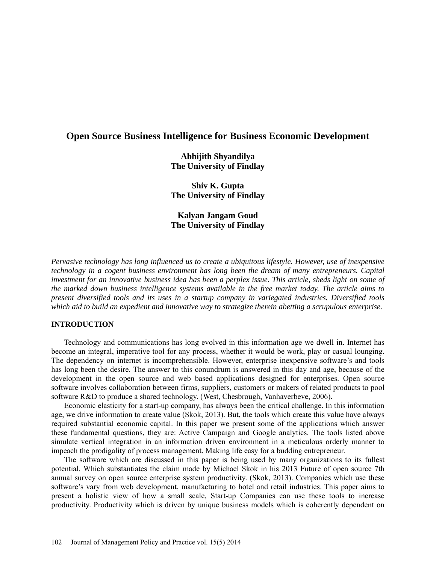# **Open Source Business Intelligence for Business Economic Development**

**Abhijith Shyandilya The University of Findlay**

**Shiv K. Gupta The University of Findlay**

**Kalyan Jangam Goud The University of Findlay**

*Pervasive technology has long influenced us to create a ubiquitous lifestyle. However, use of inexpensive technology in a cogent business environment has long been the dream of many entrepreneurs. Capital investment for an innovative business idea has been a perplex issue. This article, sheds light on some of the marked down business intelligence systems available in the free market today. The article aims to present diversified tools and its uses in a startup company in variegated industries. Diversified tools which aid to build an expedient and innovative way to strategize therein abetting a scrupulous enterprise.*

## **INTRODUCTION**

Technology and communications has long evolved in this information age we dwell in. Internet has become an integral, imperative tool for any process, whether it would be work, play or casual lounging. The dependency on internet is incomprehensible. However, enterprise inexpensive software's and tools has long been the desire. The answer to this conundrum is answered in this day and age, because of the development in the open source and web based applications designed for enterprises. Open source software involves collaboration between firms, suppliers, customers or makers of related products to pool software R&D to produce a shared technology. (West, Chesbrough, Vanhaverbeve, 2006).

Economic elasticity for a start-up company, has always been the critical challenge. In this information age, we drive information to create value (Skok, 2013). But, the tools which create this value have always required substantial economic capital. In this paper we present some of the applications which answer these fundamental questions, they are: Active Campaign and Google analytics. The tools listed above simulate vertical integration in an information driven environment in a meticulous orderly manner to impeach the prodigality of process management. Making life easy for a budding entrepreneur.

The software which are discussed in this paper is being used by many organizations to its fullest potential. Which substantiates the claim made by Michael Skok in his 2013 Future of open source 7th annual survey on open source enterprise system productivity. (Skok, 2013). Companies which use these software's vary from web development, manufacturing to hotel and retail industries. This paper aims to present a holistic view of how a small scale, Start-up Companies can use these tools to increase productivity. Productivity which is driven by unique business models which is coherently dependent on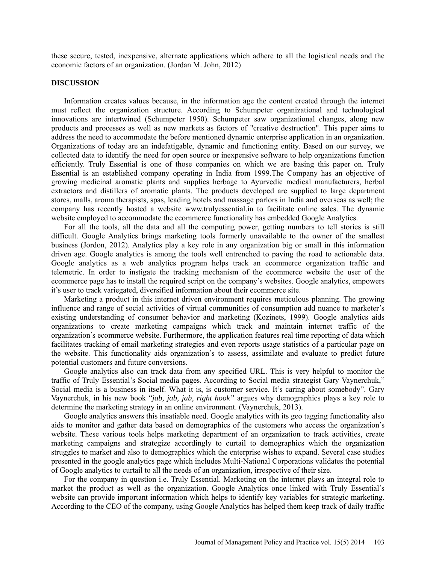these secure, tested, inexpensive, alternate applications which adhere to all the logistical needs and the economic factors of an organization. (Jordan M. John, 2012)

### **DISCUSSION**

Information creates values because, in the information age the content created through the internet must reflect the organization structure. According to Schumpeter organizational and technological innovations are intertwined (Schumpeter 1950). Schumpeter saw organizational changes, along new products and processes as well as new markets as factors of "creative destruction". This paper aims to address the need to accommodate the before mentioned dynamic enterprise application in an organization. Organizations of today are an indefatigable, dynamic and functioning entity. Based on our survey, we collected data to identify the need for open source or inexpensive software to help organizations function efficiently. Truly Essential is one of those companies on which we are basing this paper on. Truly Essential is an established company operating in India from 1999.The Company has an objective of growing medicinal aromatic plants and supplies herbage to Ayurvedic medical manufacturers, herbal extractors and distillers of aromatic plants. The products developed are supplied to large department stores, malls, aroma therapists, spas, leading hotels and massage parlors in India and overseas as well; the company has recently hosted a website www.trulyessential.in to facilitate online sales. The dynamic website employed to accommodate the ecommerce functionality has embedded Google Analytics.

For all the tools, all the data and all the computing power, getting numbers to tell stories is still difficult. Google Analytics brings marketing tools formerly unavailable to the owner of the smallest business (Jordon, 2012). Analytics play a key role in any organization big or small in this information driven age. Google analytics is among the tools well entrenched to paving the road to actionable data. Google analytics as a web analytics program helps track an ecommerce organization traffic and telemetric. In order to instigate the tracking mechanism of the ecommerce website the user of the ecommerce page has to install the required script on the company's websites. Google analytics, empowers it's user to track variegated, diversified information about their ecommerce site.

Marketing a product in this internet driven environment requires meticulous planning. The growing influence and range of social activities of virtual communities of consumption add nuance to marketer's existing understanding of consumer behavior and marketing (Kozinets, 1999). Google analytics aids organizations to create marketing campaigns which track and maintain internet traffic of the organization's ecommerce website. Furthermore, the application features real time reporting of data which facilitates tracking of email marketing strategies and even reports usage statistics of a particular page on the website. This functionality aids organization's to assess, assimilate and evaluate to predict future potential customers and future conversions.

Google analytics also can track data from any specified URL. This is very helpful to monitor the traffic of Truly Essential's Social media pages. According to Social media strategist Gary Vaynerchuk," Social media is a business in itself. What it is, is customer service. It's caring about somebody". Gary Vaynerchuk, in his new book "*jab, jab, jab, right hook"* argues why demographics plays a key role to determine the marketing strategy in an online environment. (Vaynerchuk, 2013).

Google analytics answers this insatiable need. Google analytics with its geo tagging functionality also aids to monitor and gather data based on demographics of the customers who access the organization's website. These various tools helps marketing department of an organization to track activities, create marketing campaigns and strategize accordingly to curtail to demographics which the organization struggles to market and also to demographics which the enterprise wishes to expand. Several case studies presented in the google analytics page which includes Multi-National Corporations validates the potential of Google analytics to curtail to all the needs of an organization, irrespective of their size.

For the company in question i.e. Truly Essential. Marketing on the internet plays an integral role to market the product as well as the organization. Google Analytics once linked with Truly Essential's website can provide important information which helps to identify key variables for strategic marketing. According to the CEO of the company, using Google Analytics has helped them keep track of daily traffic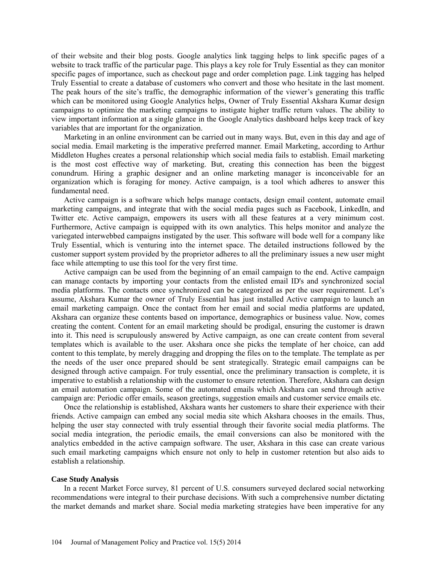of their website and their blog posts. Google analytics link tagging helps to link specific pages of a website to track traffic of the particular page. This plays a key role for Truly Essential as they can monitor specific pages of importance, such as checkout page and order completion page. Link tagging has helped Truly Essential to create a database of customers who convert and those who hesitate in the last moment. The peak hours of the site's traffic, the demographic information of the viewer's generating this traffic which can be monitored using Google Analytics helps, Owner of Truly Essential Akshara Kumar design campaigns to optimize the marketing campaigns to instigate higher traffic return values. The ability to view important information at a single glance in the Google Analytics dashboard helps keep track of key variables that are important for the organization.

Marketing in an online environment can be carried out in many ways. But, even in this day and age of social media. Email marketing is the imperative preferred manner. Email Marketing, according to Arthur Middleton Hughes creates a personal relationship which social media fails to establish. Email marketing is the most cost effective way of marketing. But, creating this connection has been the biggest conundrum. Hiring a graphic designer and an online marketing manager is inconceivable for an organization which is foraging for money. Active campaign, is a tool which adheres to answer this fundamental need.

Active campaign is a software which helps manage contacts, design email content, automate email marketing campaigns, and integrate that with the social media pages such as Facebook, LinkedIn, and Twitter etc. Active campaign, empowers its users with all these features at a very minimum cost. Furthermore, Active campaign is equipped with its own analytics. This helps monitor and analyze the variegated interwebbed campaigns instigated by the user. This software will bode well for a company like Truly Essential, which is venturing into the internet space. The detailed instructions followed by the customer support system provided by the proprietor adheres to all the preliminary issues a new user might face while attempting to use this tool for the very first time.

Active campaign can be used from the beginning of an email campaign to the end. Active campaign can manage contacts by importing your contacts from the enlisted email ID's and synchronized social media platforms. The contacts once synchronized can be categorized as per the user requirement. Let's assume, Akshara Kumar the owner of Truly Essential has just installed Active campaign to launch an email marketing campaign. Once the contact from her email and social media platforms are updated, Akshara can organize these contents based on importance, demographics or business value. Now, comes creating the content. Content for an email marketing should be prodigal, ensuring the customer is drawn into it. This need is scrupulously answered by Active campaign, as one can create content from several templates which is available to the user. Akshara once she picks the template of her choice, can add content to this template, by merely dragging and dropping the files on to the template. The template as per the needs of the user once prepared should be sent strategically. Strategic email campaigns can be designed through active campaign. For truly essential, once the preliminary transaction is complete, it is imperative to establish a relationship with the customer to ensure retention. Therefore, Akshara can design an email automation campaign. Some of the automated emails which Akshara can send through active campaign are: Periodic offer emails, season greetings, suggestion emails and customer service emails etc.

Once the relationship is established, Akshara wants her customers to share their experience with their friends. Active campaign can embed any social media site which Akshara chooses in the emails. Thus, helping the user stay connected with truly essential through their favorite social media platforms. The social media integration, the periodic emails, the email conversions can also be monitored with the analytics embedded in the active campaign software. The user, Akshara in this case can create various such email marketing campaigns which ensure not only to help in customer retention but also aids to establish a relationship.

#### **Case Study Analysis**

In a recent Market Force survey, 81 percent of U.S. consumers surveyed declared social networking recommendations were integral to their purchase decisions. With such a comprehensive number dictating the market demands and market share. Social media marketing strategies have been imperative for any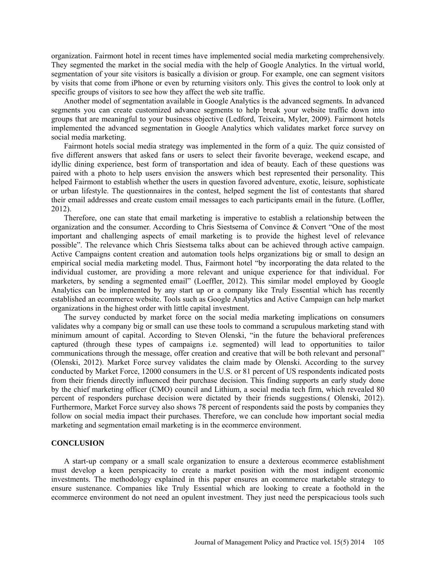organization. Fairmont hotel in recent times have implemented social media marketing comprehensively. They segmented the market in the social media with the help of Google Analytics. In the virtual world, segmentation of your site visitors is basically a division or group. For example, one can segment visitors by visits that come from iPhone or even by returning visitors only. This gives the control to look only at specific groups of visitors to see how they affect the web site traffic.

Another model of segmentation available in Google Analytics is the advanced segments. In advanced segments you can create customized advance segments to help break your website traffic down into groups that are meaningful to your business objective (Ledford, Teixeira, Myler, 2009). Fairmont hotels implemented the advanced segmentation in Google Analytics which validates market force survey on social media marketing.

Fairmont hotels social media strategy was implemented in the form of a quiz. The quiz consisted of five different answers that asked fans or users to select their favorite beverage, weekend escape, and idyllic dining experience, best form of transportation and idea of beauty. Each of these questions was paired with a photo to help users envision the answers which best represented their personality. This helped Fairmont to establish whether the users in question favored adventure, exotic, leisure, sophisticate or urban lifestyle. The questionnaires in the contest, helped segment the list of contestants that shared their email addresses and create custom email messages to each participants email in the future. (Loffler, 2012).

Therefore, one can state that email marketing is imperative to establish a relationship between the organization and the consumer. According to Chris Siestsema of Convince & Convert "One of the most important and challenging aspects of email marketing is to provide the highest level of relevance possible". The relevance which Chris Siestsema talks about can be achieved through active campaign. Active Campaigns content creation and automation tools helps organizations big or small to design an empirical social media marketing model. Thus, Fairmont hotel "by incorporating the data related to the individual customer, are providing a more relevant and unique experience for that individual. For marketers, by sending a segmented email" (Loeffler, 2012). This similar model employed by Google Analytics can be implemented by any start up or a company like Truly Essential which has recently established an ecommerce website. Tools such as Google Analytics and Active Campaign can help market organizations in the highest order with little capital investment.

The survey conducted by market force on the social media marketing implications on consumers validates why a company big or small can use these tools to command a scrupulous marketing stand with minimum amount of capital. According to Steven Olenski, "in the future the behavioral preferences captured (through these types of campaigns i.e. segmented) will lead to opportunities to tailor communications through the message, offer creation and creative that will be both relevant and personal" (Olenski, 2012). Market Force survey validates the claim made by Olenski. According to the survey conducted by Market Force, 12000 consumers in the U.S. or 81 percent of US respondents indicated posts from their friends directly influenced their purchase decision. This finding supports an early study done by the chief marketing officer (CMO) council and Lithium, a social media tech firm, which revealed 80 percent of responders purchase decision were dictated by their friends suggestions.( Olenski, 2012). Furthermore, Market Force survey also shows 78 percent of respondents said the posts by companies they follow on social media impact their purchases. Therefore, we can conclude how important social media marketing and segmentation email marketing is in the ecommerce environment.

## **CONCLUSION**

A start-up company or a small scale organization to ensure a dexterous ecommerce establishment must develop a keen perspicacity to create a market position with the most indigent economic investments. The methodology explained in this paper ensures an ecommerce marketable strategy to ensure sustenance. Companies like Truly Essential which are looking to create a foothold in the ecommerce environment do not need an opulent investment. They just need the perspicacious tools such